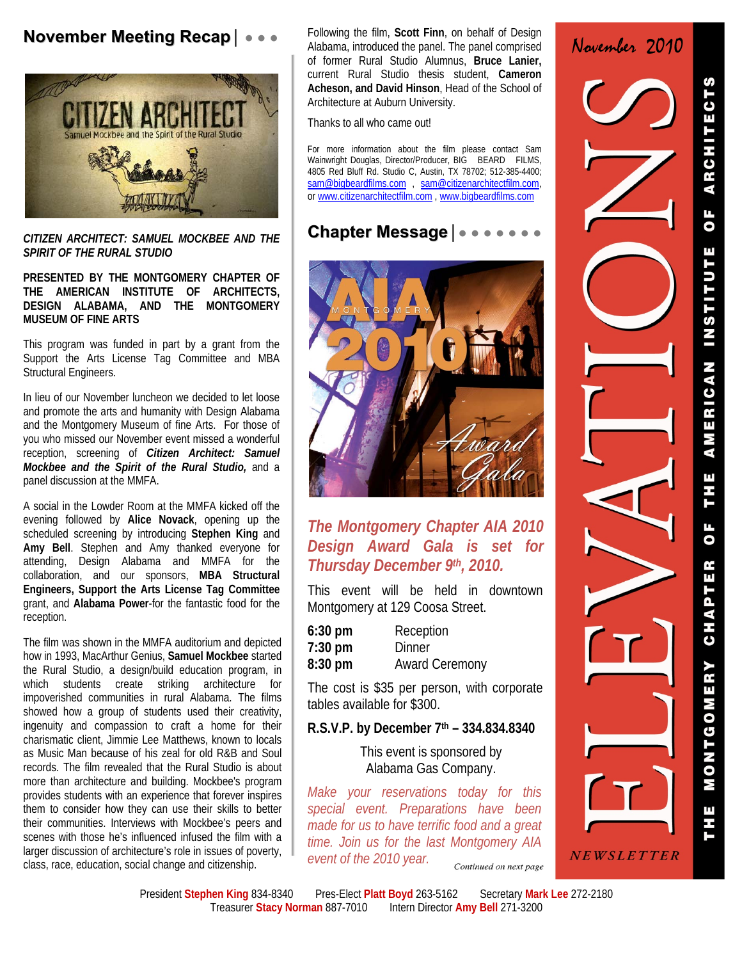# **November Meeting Recap**│ ● ● ●



*CITIZEN ARCHITECT: SAMUEL MOCKBEE AND THE SPIRIT OF THE RURAL STUDIO* 

**PRESENTED BY THE MONTGOMERY CHAPTER OF THE AMERICAN INSTITUTE OF ARCHITECTS, DESIGN ALABAMA, AND THE MONTGOMERY MUSEUM OF FINE ARTS** 

This program was funded in part by a grant from the Support the Arts License Tag Committee and MBA Structural Engineers.

In lieu of our November luncheon we decided to let loose and promote the arts and humanity with Design Alabama and the Montgomery Museum of fine Arts. For those of you who missed our November event missed a wonderful reception, screening of *Citizen Architect: Samuel Mockbee and the Spirit of the Rural Studio,* and a panel discussion at the MMFA.

A social in the Lowder Room at the MMFA kicked off the evening followed by **Alice Novack**, opening up the scheduled screening by introducing **Stephen King** and **Amy Bell**. Stephen and Amy thanked everyone for attending, Design Alabama and MMFA for the collaboration, and our sponsors, **MBA Structural Engineers, Support the Arts License Tag Committee** grant, and **Alabama Power**-for the fantastic food for the reception.

The film was shown in the MMFA auditorium and depicted how in 1993, MacArthur Genius, **Samuel Mockbee** started the Rural Studio, a design/build education program, in which students create striking architecture for impoverished communities in rural Alabama. The films showed how a group of students used their creativity, ingenuity and compassion to craft a home for their charismatic client, Jimmie Lee Matthews, known to locals as Music Man because of his zeal for old R&B and Soul records. The film revealed that the Rural Studio is about more than architecture and building. Mockbee's program provides students with an experience that forever inspires them to consider how they can use their skills to better their communities. Interviews with Mockbee's peers and scenes with those he's influenced infused the film with a larger discussion of architecture's role in issues of poverty, class, race, education, social change and citizenship.

Following the film, **Scott Finn**, on behalf of Design Alabama, introduced the panel. The panel comprised of former Rural Studio Alumnus, **Bruce Lanier,**  current Rural Studio thesis student, **Cameron Acheson, and David Hinson**, Head of the School of Architecture at Auburn University.

Thanks to all who came out!

For more information about the film please contact Sam Wainwright Douglas, Director/Producer, BIG BEARD FILMS, 4805 Red Bluff Rd. Studio C, Austin, TX 78702; 512-385-4400; sam@bigbeardfilms.com , sam@citizenarchitectfilm.com, or www.citizenarchitectfilm.com , www.bigbeardfilms.com

## **Chapter Message**│● ● ● ● ● ● ●



#### *The Montgomery Chapter AIA 2010 Design Award Gala is set for Thursday December 9th, 2010.*

This event will be held in downtown Montgomery at 129 Coosa Street.

| $6:30$ pm         | Reception             |
|-------------------|-----------------------|
| $7:30 \text{ pm}$ | Dinner                |
| $8:30 \text{ pm}$ | <b>Award Ceremony</b> |

The cost is \$35 per person, with corporate tables available for \$300.

#### **R.S.V.P. by December 7th – 334.834.8340**

This event is sponsored by Alabama Gas Company.

*Make your reservations today for this special event. Preparations have been made for us to have terrific food and a great time. Join us for the last Montgomery AIA event of the 2010 year.* Continued on next page

NEWSLETTER

November 2010

President Stephen King 834-8340 Pres-Elect Platt Boyd 263-5162 Secretary Mark Lee 272-2180 Treasurer **Stacy Norman** 887-7010Intern Director **Amy Bell** 271-3200